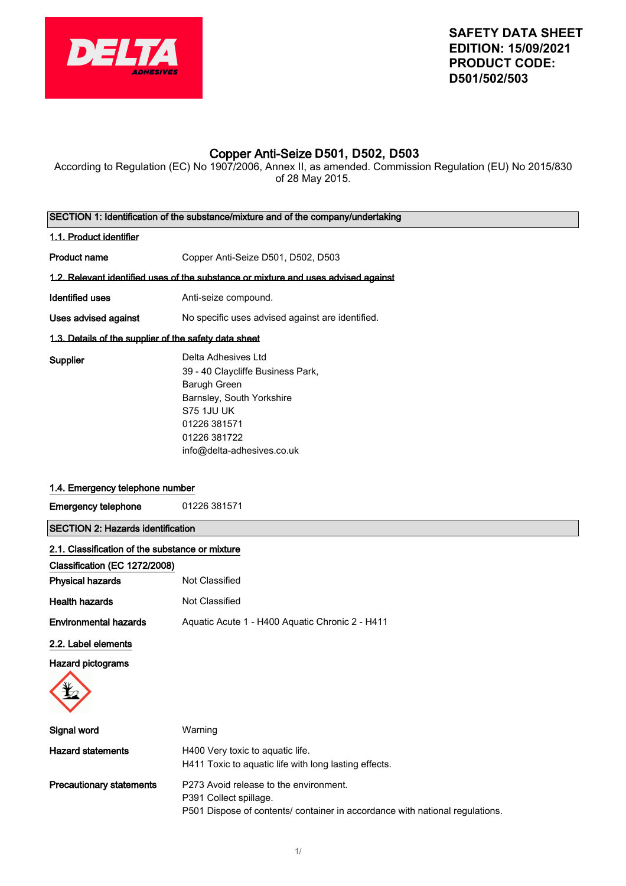

# Copper Anti-Seize **D501, D502, D503**

According to Regulation (EC) No 1907/2006, Annex II, as amended. Commission Regulation (EU) No 2015/830 of 28 May 2015.

|                                                       | SECTION 1: Identification of the substance/mixture and of the company/undertaking                                                                                                        |
|-------------------------------------------------------|------------------------------------------------------------------------------------------------------------------------------------------------------------------------------------------|
| 1.1. Product identifier                               |                                                                                                                                                                                          |
| <b>Product name</b>                                   | Copper Anti-Seize D501, D502, D503                                                                                                                                                       |
|                                                       | 1.2. Relevant identified uses of the substance or mixture and uses advised against                                                                                                       |
| <b>Identified uses</b>                                | Anti-seize compound.                                                                                                                                                                     |
| Uses advised against                                  | No specific uses advised against are identified.                                                                                                                                         |
| 1.3. Details of the supplier of the safety data sheet |                                                                                                                                                                                          |
| Supplier                                              | Delta Adhesives Ltd<br>39 - 40 Claycliffe Business Park,<br>Barugh Green<br>Barnsley, South Yorkshire<br><b>S75 1JU UK</b><br>01226 381571<br>01226 381722<br>info@delta-adhesives.co.uk |
| 1.4. Emergency telephone number                       |                                                                                                                                                                                          |
| <b>Emergency telephone</b>                            | 01226 381571                                                                                                                                                                             |
| <b>SECTION 2: Hazards identification</b>              |                                                                                                                                                                                          |
| 2.1. Classification of the substance or mixture       |                                                                                                                                                                                          |
| Classification (EC 1272/2008)                         |                                                                                                                                                                                          |
| <b>Physical hazards</b>                               | Not Classified                                                                                                                                                                           |
| <b>Health hazards</b>                                 | Not Classified                                                                                                                                                                           |
| <b>Environmental hazards</b>                          | Aquatic Acute 1 - H400 Aquatic Chronic 2 - H411                                                                                                                                          |
| 2.2. Label elements                                   |                                                                                                                                                                                          |
| <b>Hazard pictograms</b>                              |                                                                                                                                                                                          |
| $\mathbf{v}$                                          |                                                                                                                                                                                          |
| Signal word                                           | Warning                                                                                                                                                                                  |
| <b>Hazard statements</b>                              | H400 Very toxic to aquatic life.<br>H411 Toxic to aquatic life with long lasting effects.                                                                                                |
| <b>Precautionary statements</b>                       | P273 Avoid release to the environment.<br>P391 Collect spillage.<br>P501 Dispose of contents/ container in accordance with national regulations.                                         |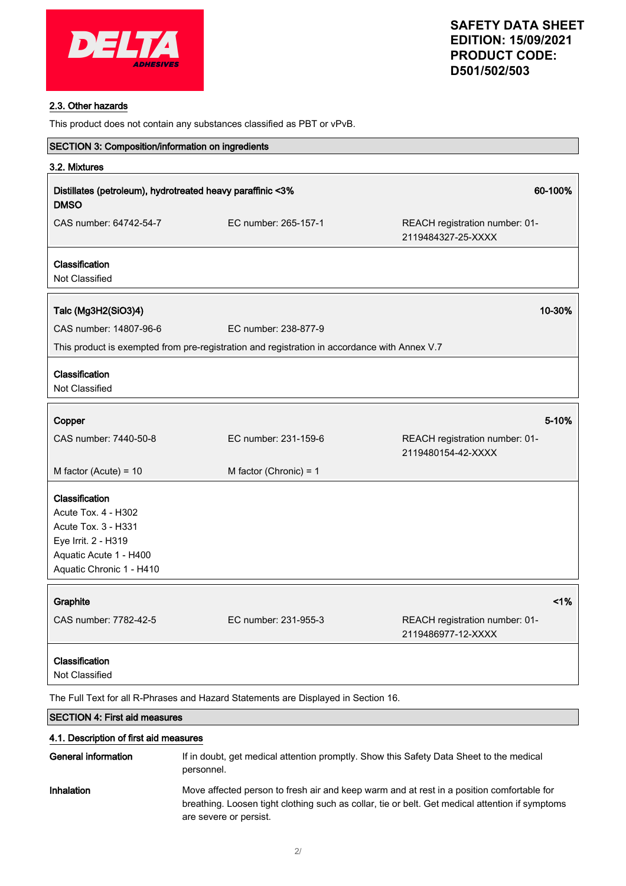

### 2.3. Other hazards

This product does not contain any substances classified as PBT or vPvB.

| SECTION 3: Composition/information on ingredients                                                                                         |                                                                                                       |                                                      |
|-------------------------------------------------------------------------------------------------------------------------------------------|-------------------------------------------------------------------------------------------------------|------------------------------------------------------|
| 3.2. Mixtures                                                                                                                             |                                                                                                       |                                                      |
| <b>DMSO</b>                                                                                                                               | Distillates (petroleum), hydrotreated heavy paraffinic <3%                                            | 60-100%                                              |
| CAS number: 64742-54-7                                                                                                                    | EC number: 265-157-1                                                                                  | REACH registration number: 01-<br>2119484327-25-XXXX |
| Classification<br>Not Classified                                                                                                          |                                                                                                       |                                                      |
| Talc (Mg3H2(SiO3)4)                                                                                                                       |                                                                                                       | 10-30%                                               |
| CAS number: 14807-96-6                                                                                                                    | EC number: 238-877-9                                                                                  |                                                      |
|                                                                                                                                           | This product is exempted from pre-registration and registration in accordance with Annex V.7          |                                                      |
| Classification<br>Not Classified                                                                                                          |                                                                                                       |                                                      |
| Copper                                                                                                                                    |                                                                                                       | 5-10%                                                |
| CAS number: 7440-50-8                                                                                                                     | EC number: 231-159-6                                                                                  | REACH registration number: 01-<br>2119480154-42-XXXX |
| M factor (Acute) = $10$                                                                                                                   | M factor (Chronic) = $1$                                                                              |                                                      |
| Classification<br>Acute Tox. 4 - H302<br>Acute Tox. 3 - H331<br>Eye Irrit. 2 - H319<br>Aquatic Acute 1 - H400<br>Aquatic Chronic 1 - H410 |                                                                                                       |                                                      |
| Graphite                                                                                                                                  |                                                                                                       | 1%                                                   |
| CAS number: 7782-42-5                                                                                                                     | EC number: 231-955-3                                                                                  | REACH registration number: 01-<br>2119486977-12-XXXX |
| Classification<br>Not Classified                                                                                                          |                                                                                                       |                                                      |
|                                                                                                                                           | The Full Text for all R-Phrases and Hazard Statements are Displayed in Section 16.                    |                                                      |
| <b>SECTION 4: First aid measures</b>                                                                                                      |                                                                                                       |                                                      |
| 4.1. Description of first aid measures                                                                                                    |                                                                                                       |                                                      |
| <b>General information</b>                                                                                                                | If in doubt, get medical attention promptly. Show this Safety Data Sheet to the medical<br>personnel. |                                                      |

Inhalation Move affected person to fresh air and keep warm and at rest in a position comfortable for breathing. Loosen tight clothing such as collar, tie or belt. Get medical attention if symptoms are severe or persist.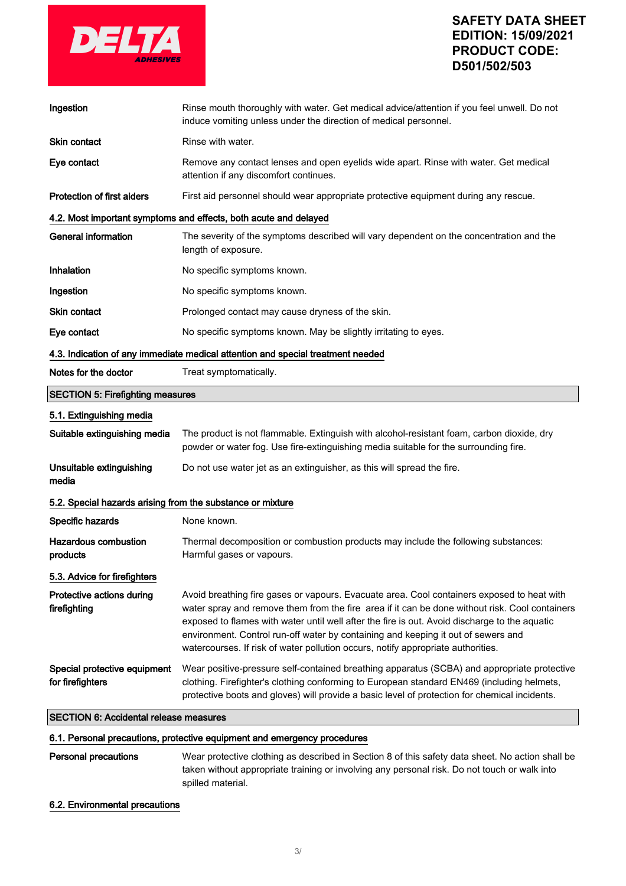

| Ingestion                                                                       | Rinse mouth thoroughly with water. Get medical advice/attention if you feel unwell. Do not<br>induce vomiting unless under the direction of medical personnel.                                                                                                                                                                                                                                                                                                         |  |
|---------------------------------------------------------------------------------|------------------------------------------------------------------------------------------------------------------------------------------------------------------------------------------------------------------------------------------------------------------------------------------------------------------------------------------------------------------------------------------------------------------------------------------------------------------------|--|
| Skin contact                                                                    | Rinse with water.                                                                                                                                                                                                                                                                                                                                                                                                                                                      |  |
| Eye contact                                                                     | Remove any contact lenses and open eyelids wide apart. Rinse with water. Get medical<br>attention if any discomfort continues.                                                                                                                                                                                                                                                                                                                                         |  |
| <b>Protection of first aiders</b>                                               | First aid personnel should wear appropriate protective equipment during any rescue.                                                                                                                                                                                                                                                                                                                                                                                    |  |
|                                                                                 | 4.2. Most important symptoms and effects, both acute and delayed                                                                                                                                                                                                                                                                                                                                                                                                       |  |
| <b>General information</b>                                                      | The severity of the symptoms described will vary dependent on the concentration and the<br>length of exposure.                                                                                                                                                                                                                                                                                                                                                         |  |
| Inhalation                                                                      | No specific symptoms known.                                                                                                                                                                                                                                                                                                                                                                                                                                            |  |
| Ingestion                                                                       | No specific symptoms known.                                                                                                                                                                                                                                                                                                                                                                                                                                            |  |
| <b>Skin contact</b>                                                             | Prolonged contact may cause dryness of the skin.                                                                                                                                                                                                                                                                                                                                                                                                                       |  |
| Eye contact                                                                     | No specific symptoms known. May be slightly irritating to eyes.                                                                                                                                                                                                                                                                                                                                                                                                        |  |
| 4.3. Indication of any immediate medical attention and special treatment needed |                                                                                                                                                                                                                                                                                                                                                                                                                                                                        |  |
| Notes for the doctor                                                            | Treat symptomatically.                                                                                                                                                                                                                                                                                                                                                                                                                                                 |  |
| <b>SECTION 5: Firefighting measures</b>                                         |                                                                                                                                                                                                                                                                                                                                                                                                                                                                        |  |
| 5.1. Extinguishing media                                                        |                                                                                                                                                                                                                                                                                                                                                                                                                                                                        |  |
| Suitable extinguishing media                                                    | The product is not flammable. Extinguish with alcohol-resistant foam, carbon dioxide, dry<br>powder or water fog. Use fire-extinguishing media suitable for the surrounding fire.                                                                                                                                                                                                                                                                                      |  |
| Unsuitable extinguishing<br>media                                               | Do not use water jet as an extinguisher, as this will spread the fire.                                                                                                                                                                                                                                                                                                                                                                                                 |  |
| 5.2. Special hazards arising from the substance or mixture                      |                                                                                                                                                                                                                                                                                                                                                                                                                                                                        |  |
| Specific hazards                                                                | None known.                                                                                                                                                                                                                                                                                                                                                                                                                                                            |  |
| <b>Hazardous combustion</b><br>products                                         | Thermal decomposition or combustion products may include the following substances:<br>Harmful gases or vapours.                                                                                                                                                                                                                                                                                                                                                        |  |
| 5.3. Advice for firefighters                                                    |                                                                                                                                                                                                                                                                                                                                                                                                                                                                        |  |
| Protective actions during<br>firefighting                                       | Avoid breathing fire gases or vapours. Evacuate area. Cool containers exposed to heat with<br>water spray and remove them from the fire area if it can be done without risk. Cool containers<br>exposed to flames with water until well after the fire is out. Avoid discharge to the aquatic<br>environment. Control run-off water by containing and keeping it out of sewers and<br>watercourses. If risk of water pollution occurs, notify appropriate authorities. |  |
| Special protective equipment<br>for firefighters                                | Wear positive-pressure self-contained breathing apparatus (SCBA) and appropriate protective<br>clothing. Firefighter's clothing conforming to European standard EN469 (including helmets,<br>protective boots and gloves) will provide a basic level of protection for chemical incidents.                                                                                                                                                                             |  |
| <b>SECTION 6: Accidental release measures</b>                                   |                                                                                                                                                                                                                                                                                                                                                                                                                                                                        |  |

# 6.1. Personal precautions, protective equipment and emergency procedures

| Personal precautions | Wear protective clothing as described in Section 8 of this safety data sheet. No action shall be |
|----------------------|--------------------------------------------------------------------------------------------------|
|                      | taken without appropriate training or involving any personal risk. Do not touch or walk into     |
|                      | spilled material.                                                                                |

# 6.2. Environmental precautions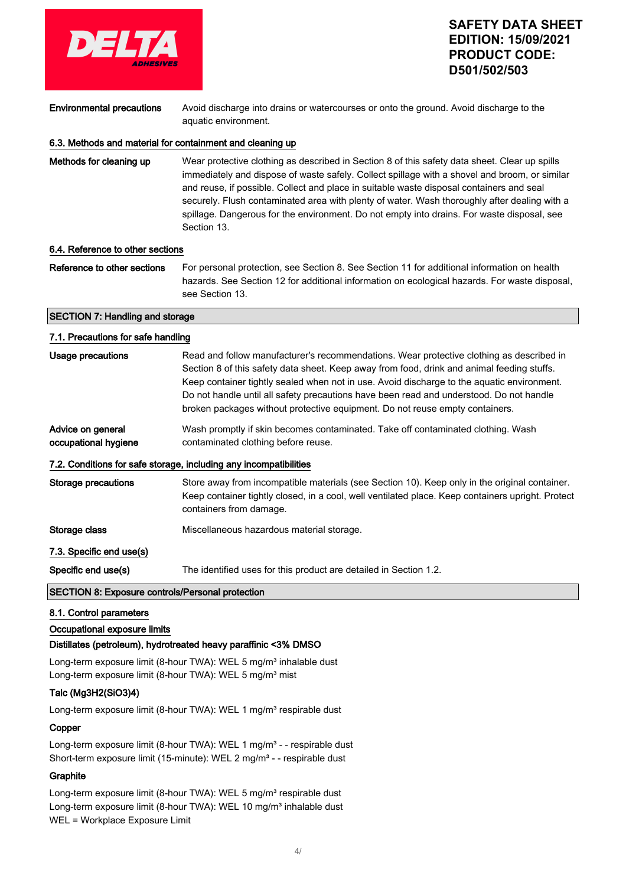

Environmental precautions Avoid discharge into drains or watercourses or onto the ground. Avoid discharge to the

aquatic environment.

# 6.3. Methods and material for containment and cleaning up

Methods for cleaning up Wear protective clothing as described in Section 8 of this safety data sheet. Clear up spills immediately and dispose of waste safely. Collect spillage with a shovel and broom, or similar and reuse, if possible. Collect and place in suitable waste disposal containers and seal securely. Flush contaminated area with plenty of water. Wash thoroughly after dealing with a spillage. Dangerous for the environment. Do not empty into drains. For waste disposal, see Section 13.

### 6.4. Reference to other sections

Reference to other sections For personal protection, see Section 8. See Section 11 for additional information on health hazards. See Section 12 for additional information on ecological hazards. For waste disposal, see Section 13.

### SECTION 7: Handling and storage

#### 7.1. Precautions for safe handling

| Usage precautions                                                 | Read and follow manufacturer's recommendations. Wear protective clothing as described in<br>Section 8 of this safety data sheet. Keep away from food, drink and animal feeding stuffs.<br>Keep container tightly sealed when not in use. Avoid discharge to the aguatic environment.<br>Do not handle until all safety precautions have been read and understood. Do not handle<br>broken packages without protective equipment. Do not reuse empty containers. |  |  |
|-------------------------------------------------------------------|-----------------------------------------------------------------------------------------------------------------------------------------------------------------------------------------------------------------------------------------------------------------------------------------------------------------------------------------------------------------------------------------------------------------------------------------------------------------|--|--|
| Advice on general<br>occupational hygiene                         | Wash promptly if skin becomes contaminated. Take off contaminated clothing. Wash<br>contaminated clothing before reuse.                                                                                                                                                                                                                                                                                                                                         |  |  |
| 7.2. Conditions for safe storage, including any incompatibilities |                                                                                                                                                                                                                                                                                                                                                                                                                                                                 |  |  |
| Storage precautions                                               | Store away from incompatible materials (see Section 10). Keep only in the original container.<br>Keep container tightly closed, in a cool, well ventilated place. Keep containers upright. Protect<br>containers from damage.                                                                                                                                                                                                                                   |  |  |
| Storage class                                                     | Miscellaneous hazardous material storage.                                                                                                                                                                                                                                                                                                                                                                                                                       |  |  |
| 7.3. Specific end use(s)                                          |                                                                                                                                                                                                                                                                                                                                                                                                                                                                 |  |  |
| Specific end use(s)                                               | The identified uses for this product are detailed in Section 1.2.                                                                                                                                                                                                                                                                                                                                                                                               |  |  |

### SECTION 8: Exposure controls/Personal protection

#### 8.1. Control parameters

#### Occupational exposure limits

#### Distillates (petroleum), hydrotreated heavy paraffinic <3% DMSO

Long-term exposure limit (8-hour TWA): WEL 5 mg/m<sup>3</sup> inhalable dust Long-term exposure limit (8-hour TWA): WEL 5 mg/m<sup>3</sup> mist

### Talc (Mg3H2(SiO3)4)

Long-term exposure limit (8-hour TWA): WEL 1 mg/m<sup>3</sup> respirable dust

#### Copper

Long-term exposure limit (8-hour TWA): WEL 1 mg/m<sup>3</sup> - - respirable dust Short-term exposure limit (15-minute): WEL 2 mg/m<sup>3</sup> - - respirable dust

### **Graphite**

Long-term exposure limit (8-hour TWA): WEL 5 mg/m<sup>3</sup> respirable dust Long-term exposure limit (8-hour TWA): WEL 10 mg/m<sup>3</sup> inhalable dust WEL = Workplace Exposure Limit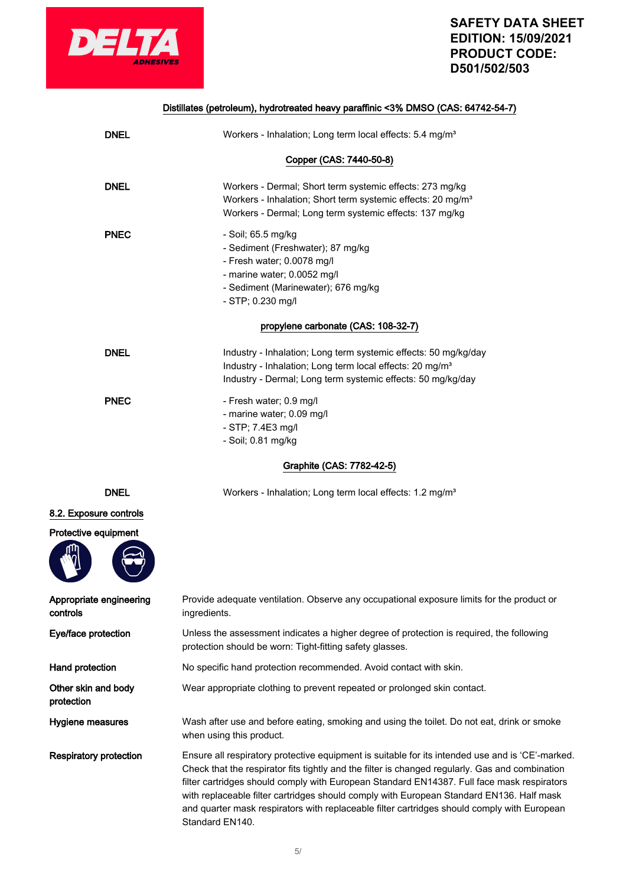

# **SAFETY DATA SHEET EDITION: 15/09/2021 PE:**

|                                     | EDITION: 15/09/2021<br><b>PRODUCT CODE:</b><br>D501/502/503                                                                                                                                                                                                                                                                                                                                                                                                                                  |
|-------------------------------------|----------------------------------------------------------------------------------------------------------------------------------------------------------------------------------------------------------------------------------------------------------------------------------------------------------------------------------------------------------------------------------------------------------------------------------------------------------------------------------------------|
|                                     | Distillates (petroleum), hydrotreated heavy paraffinic <3% DMSO (CAS: 64742-54-7)                                                                                                                                                                                                                                                                                                                                                                                                            |
| <b>DNEL</b>                         | Workers - Inhalation; Long term local effects: 5.4 mg/m <sup>3</sup>                                                                                                                                                                                                                                                                                                                                                                                                                         |
|                                     | Copper (CAS: 7440-50-8)                                                                                                                                                                                                                                                                                                                                                                                                                                                                      |
| <b>DNEL</b>                         | Workers - Dermal; Short term systemic effects: 273 mg/kg<br>Workers - Inhalation; Short term systemic effects: 20 mg/m <sup>3</sup><br>Workers - Dermal; Long term systemic effects: 137 mg/kg                                                                                                                                                                                                                                                                                               |
| <b>PNEC</b>                         | - Soil; 65.5 mg/kg<br>- Sediment (Freshwater); 87 mg/kg<br>- Fresh water; 0.0078 mg/l<br>- marine water; 0.0052 mg/l<br>- Sediment (Marinewater); 676 mg/kg<br>$-$ STP; 0.230 mg/l                                                                                                                                                                                                                                                                                                           |
|                                     | propylene carbonate (CAS: 108-32-7)                                                                                                                                                                                                                                                                                                                                                                                                                                                          |
| <b>DNEL</b>                         | Industry - Inhalation; Long term systemic effects: 50 mg/kg/day<br>Industry - Inhalation; Long term local effects: 20 mg/m <sup>3</sup><br>Industry - Dermal; Long term systemic effects: 50 mg/kg/day                                                                                                                                                                                                                                                                                       |
| <b>PNEC</b>                         | - Fresh water; 0.9 mg/l<br>- marine water; 0.09 mg/l<br>- STP; 7.4E3 mg/l<br>- Soil; 0.81 mg/kg                                                                                                                                                                                                                                                                                                                                                                                              |
|                                     | Graphite (CAS: 7782-42-5)                                                                                                                                                                                                                                                                                                                                                                                                                                                                    |
| <b>DNEL</b>                         | Workers - Inhalation; Long term local effects: 1.2 mg/m <sup>3</sup>                                                                                                                                                                                                                                                                                                                                                                                                                         |
| 8.2. Exposure controls              |                                                                                                                                                                                                                                                                                                                                                                                                                                                                                              |
| Protective equipment                |                                                                                                                                                                                                                                                                                                                                                                                                                                                                                              |
| Appropriate engineering<br>controls | Provide adequate ventilation. Observe any occupational exposure limits for the product or<br>ingredients.                                                                                                                                                                                                                                                                                                                                                                                    |
| Eye/face protection                 | Unless the assessment indicates a higher degree of protection is required, the following<br>protection should be worn: Tight-fitting safety glasses.                                                                                                                                                                                                                                                                                                                                         |
| Hand protection                     | No specific hand protection recommended. Avoid contact with skin.                                                                                                                                                                                                                                                                                                                                                                                                                            |
| Other skin and body<br>protection   | Wear appropriate clothing to prevent repeated or prolonged skin contact.                                                                                                                                                                                                                                                                                                                                                                                                                     |
| Hygiene measures                    | Wash after use and before eating, smoking and using the toilet. Do not eat, drink or smoke<br>when using this product.                                                                                                                                                                                                                                                                                                                                                                       |
| <b>Respiratory protection</b>       | Ensure all respiratory protective equipment is suitable for its intended use and is 'CE'-marked.<br>Check that the respirator fits tightly and the filter is changed regularly. Gas and combination<br>filter cartridges should comply with European Standard EN14387. Full face mask respirators<br>with replaceable filter cartridges should comply with European Standard EN136. Half mask<br>and quarter mask respirators with replaceable filter cartridges should comply with European |

Standard EN140.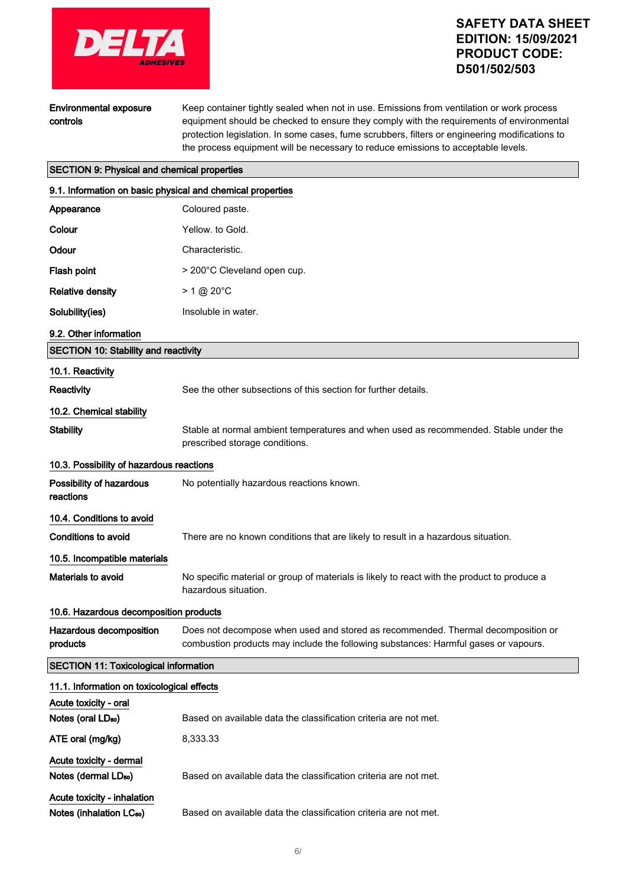

Environmental exposure controls

Keep container tightly sealed when not in use. Emissions from ventilation or work process equipment should be checked to ensure they comply with the requirements of environmental protection legislation. In some cases, fume scrubbers, filters or engineering modifications to the process equipment will be necessary to reduce emissions to acceptable levels.

### SECTION 9: Physical and chemical properties

| 9.1. Information on basic physical and chemical properties |                                                                                                                                                                         |
|------------------------------------------------------------|-------------------------------------------------------------------------------------------------------------------------------------------------------------------------|
| Appearance                                                 | Coloured paste.                                                                                                                                                         |
| Colour                                                     | Yellow. to Gold.                                                                                                                                                        |
| Odour                                                      | Characteristic.                                                                                                                                                         |
| Flash point                                                | > 200°C Cleveland open cup.                                                                                                                                             |
| <b>Relative density</b>                                    | $> 1 \text{ @ } 20^{\circ}$ C                                                                                                                                           |
| Solubility(ies)                                            | Insoluble in water.                                                                                                                                                     |
| 9.2. Other information                                     |                                                                                                                                                                         |
| <b>SECTION 10: Stability and reactivity</b>                |                                                                                                                                                                         |
| 10.1. Reactivity                                           |                                                                                                                                                                         |
| Reactivity                                                 | See the other subsections of this section for further details.                                                                                                          |
| 10.2. Chemical stability                                   |                                                                                                                                                                         |
| <b>Stability</b>                                           | Stable at normal ambient temperatures and when used as recommended. Stable under the<br>prescribed storage conditions.                                                  |
| 10.3. Possibility of hazardous reactions                   |                                                                                                                                                                         |
| Possibility of hazardous<br>reactions                      | No potentially hazardous reactions known.                                                                                                                               |
| 10.4. Conditions to avoid                                  |                                                                                                                                                                         |
| <b>Conditions to avoid</b>                                 | There are no known conditions that are likely to result in a hazardous situation.                                                                                       |
| 10.5. Incompatible materials                               |                                                                                                                                                                         |
| Materials to avoid                                         | No specific material or group of materials is likely to react with the product to produce a<br>hazardous situation.                                                     |
| 10.6. Hazardous decomposition products                     |                                                                                                                                                                         |
| Hazardous decomposition<br>products                        | Does not decompose when used and stored as recommended. Thermal decomposition or<br>combustion products may include the following substances: Harmful gases or vapours. |
| <b>SECTION 11: Toxicological information</b>               |                                                                                                                                                                         |
| 11.1. Information on toxicological effects                 |                                                                                                                                                                         |
| Acute toxicity - oral                                      |                                                                                                                                                                         |
| Notes (oral LD <sub>50</sub> )                             | Based on available data the classification criteria are not met.                                                                                                        |
| ATE oral (mg/kg)                                           | 8,333.33                                                                                                                                                                |
| Acute toxicity - dermal                                    |                                                                                                                                                                         |
| Notes (dermal LD <sub>50</sub> )                           | Based on available data the classification criteria are not met.                                                                                                        |
| Acute toxicity - inhalation                                |                                                                                                                                                                         |
| Notes (inhalation LC <sub>50</sub> )                       | Based on available data the classification criteria are not met.                                                                                                        |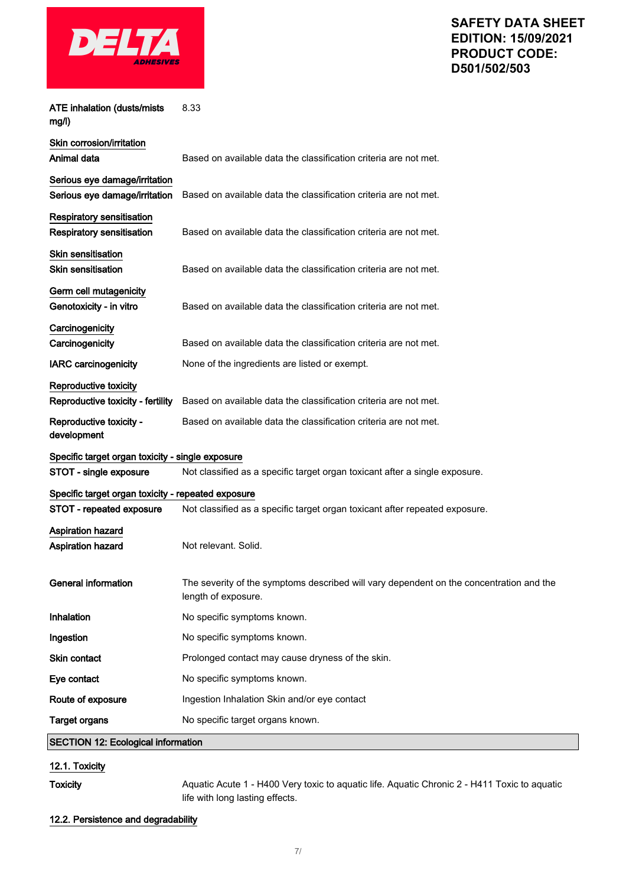

| <b>ATE inhalation (dusts/mists</b><br>mg/l)                          | 8.33                                                                                                           |
|----------------------------------------------------------------------|----------------------------------------------------------------------------------------------------------------|
| Skin corrosion/irritation<br>Animal data                             | Based on available data the classification criteria are not met.                                               |
| Serious eye damage/irritation<br>Serious eye damage/irritation       | Based on available data the classification criteria are not met.                                               |
| <b>Respiratory sensitisation</b><br><b>Respiratory sensitisation</b> | Based on available data the classification criteria are not met.                                               |
| <b>Skin sensitisation</b><br><b>Skin sensitisation</b>               | Based on available data the classification criteria are not met.                                               |
| Germ cell mutagenicity<br>Genotoxicity - in vitro                    | Based on available data the classification criteria are not met.                                               |
| Carcinogenicity<br>Carcinogenicity                                   | Based on available data the classification criteria are not met.                                               |
| <b>IARC carcinogenicity</b>                                          | None of the ingredients are listed or exempt.                                                                  |
| Reproductive toxicity<br>Reproductive toxicity - fertility           | Based on available data the classification criteria are not met.                                               |
| Reproductive toxicity -<br>development                               | Based on available data the classification criteria are not met.                                               |
| Specific target organ toxicity - single exposure                     |                                                                                                                |
| STOT - single exposure                                               | Not classified as a specific target organ toxicant after a single exposure.                                    |
| Specific target organ toxicity - repeated exposure                   |                                                                                                                |
| STOT - repeated exposure                                             | Not classified as a specific target organ toxicant after repeated exposure.                                    |
| <b>Aspiration hazard</b><br><b>Aspiration hazard</b>                 | Not relevant. Solid.                                                                                           |
| <b>General information</b>                                           | The severity of the symptoms described will vary dependent on the concentration and the<br>length of exposure. |
| Inhalation                                                           | No specific symptoms known.                                                                                    |
| Ingestion                                                            | No specific symptoms known.                                                                                    |
| Skin contact                                                         | Prolonged contact may cause dryness of the skin.                                                               |
| Eye contact                                                          | No specific symptoms known.                                                                                    |
| Route of exposure                                                    | Ingestion Inhalation Skin and/or eye contact                                                                   |
| <b>Target organs</b>                                                 | No specific target organs known.                                                                               |
| <b>SECTION 12: Ecological information</b>                            |                                                                                                                |
|                                                                      |                                                                                                                |

12.1. Toxicity

Toxicity **Aquatic Acute 1 - H400 Very toxic to aquatic life. Aquatic Chronic 2 - H411 Toxic to aquatic** life with long lasting effects.

### 12.2. Persistence and degradability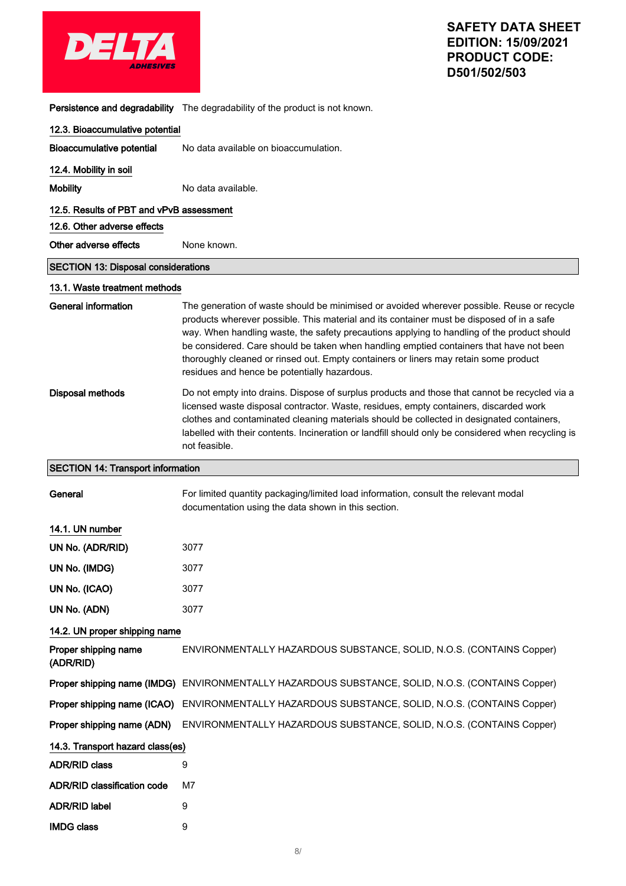| <b>ADHESIVES</b>                            |  |
|---------------------------------------------|--|
| Pareietance and degradability. The degradak |  |

Persistence and degradability The degradability of the product is not known.

| 12.3. Bioaccumulative potential            |                                                                                                                                                                                                                                                                                                                                                                                                                                                                                                                           |
|--------------------------------------------|---------------------------------------------------------------------------------------------------------------------------------------------------------------------------------------------------------------------------------------------------------------------------------------------------------------------------------------------------------------------------------------------------------------------------------------------------------------------------------------------------------------------------|
| <b>Bioaccumulative potential</b>           | No data available on bioaccumulation.                                                                                                                                                                                                                                                                                                                                                                                                                                                                                     |
| 12.4. Mobility in soil                     |                                                                                                                                                                                                                                                                                                                                                                                                                                                                                                                           |
| <b>Mobility</b>                            | No data available.                                                                                                                                                                                                                                                                                                                                                                                                                                                                                                        |
| 12.5. Results of PBT and vPvB assessment   |                                                                                                                                                                                                                                                                                                                                                                                                                                                                                                                           |
| 12.6. Other adverse effects                |                                                                                                                                                                                                                                                                                                                                                                                                                                                                                                                           |
| Other adverse effects                      | None known.                                                                                                                                                                                                                                                                                                                                                                                                                                                                                                               |
| <b>SECTION 13: Disposal considerations</b> |                                                                                                                                                                                                                                                                                                                                                                                                                                                                                                                           |
| 13.1. Waste treatment methods              |                                                                                                                                                                                                                                                                                                                                                                                                                                                                                                                           |
| General information                        | The generation of waste should be minimised or avoided wherever possible. Reuse or recycle<br>products wherever possible. This material and its container must be disposed of in a safe<br>way. When handling waste, the safety precautions applying to handling of the product should<br>be considered. Care should be taken when handling emptied containers that have not been<br>thoroughly cleaned or rinsed out. Empty containers or liners may retain some product<br>residues and hence be potentially hazardous. |
| Disposal methods                           | Do not empty into drains. Dispose of surplus products and those that cannot be recycled via a<br>licensed waste disposal contractor. Waste, residues, empty containers, discarded work<br>clothes and contaminated cleaning materials should be collected in designated containers,<br>labelled with their contents. Incineration or landfill should only be considered when recycling is<br>not feasible.                                                                                                                |
| <b>SECTION 14: Transport information</b>   |                                                                                                                                                                                                                                                                                                                                                                                                                                                                                                                           |
| General                                    | For limited quantity packaging/limited load information, consult the relevant modal<br>documentation using the data shown in this section.                                                                                                                                                                                                                                                                                                                                                                                |
| 14.1. UN number                            |                                                                                                                                                                                                                                                                                                                                                                                                                                                                                                                           |
| UN No. (ADR/RID)                           | 3077                                                                                                                                                                                                                                                                                                                                                                                                                                                                                                                      |
| UN No. (IMDG)                              | 3077                                                                                                                                                                                                                                                                                                                                                                                                                                                                                                                      |
| UN No. (ICAO)                              | 3077                                                                                                                                                                                                                                                                                                                                                                                                                                                                                                                      |
| UN No. (ADN)                               | 3077                                                                                                                                                                                                                                                                                                                                                                                                                                                                                                                      |
| 14.2. UN proper shipping name              |                                                                                                                                                                                                                                                                                                                                                                                                                                                                                                                           |
| Proper shipping name<br>(ADR/RID)          | ENVIRONMENTALLY HAZARDOUS SUBSTANCE, SOLID, N.O.S. (CONTAINS Copper)                                                                                                                                                                                                                                                                                                                                                                                                                                                      |
| Proper shipping name (IMDG)                | ENVIRONMENTALLY HAZARDOUS SUBSTANCE, SOLID, N.O.S. (CONTAINS Copper)                                                                                                                                                                                                                                                                                                                                                                                                                                                      |
| Proper shipping name (ICAO)                | ENVIRONMENTALLY HAZARDOUS SUBSTANCE, SOLID, N.O.S. (CONTAINS Copper)                                                                                                                                                                                                                                                                                                                                                                                                                                                      |
| Proper shipping name (ADN)                 | ENVIRONMENTALLY HAZARDOUS SUBSTANCE, SOLID, N.O.S. (CONTAINS Copper)                                                                                                                                                                                                                                                                                                                                                                                                                                                      |
| 14.3. Transport hazard class(es)           |                                                                                                                                                                                                                                                                                                                                                                                                                                                                                                                           |
| <b>ADR/RID class</b>                       | 9                                                                                                                                                                                                                                                                                                                                                                                                                                                                                                                         |
| <b>ADR/RID classification code</b>         | M7                                                                                                                                                                                                                                                                                                                                                                                                                                                                                                                        |
| <b>ADR/RID label</b>                       | 9                                                                                                                                                                                                                                                                                                                                                                                                                                                                                                                         |
| <b>IMDG class</b>                          | 9                                                                                                                                                                                                                                                                                                                                                                                                                                                                                                                         |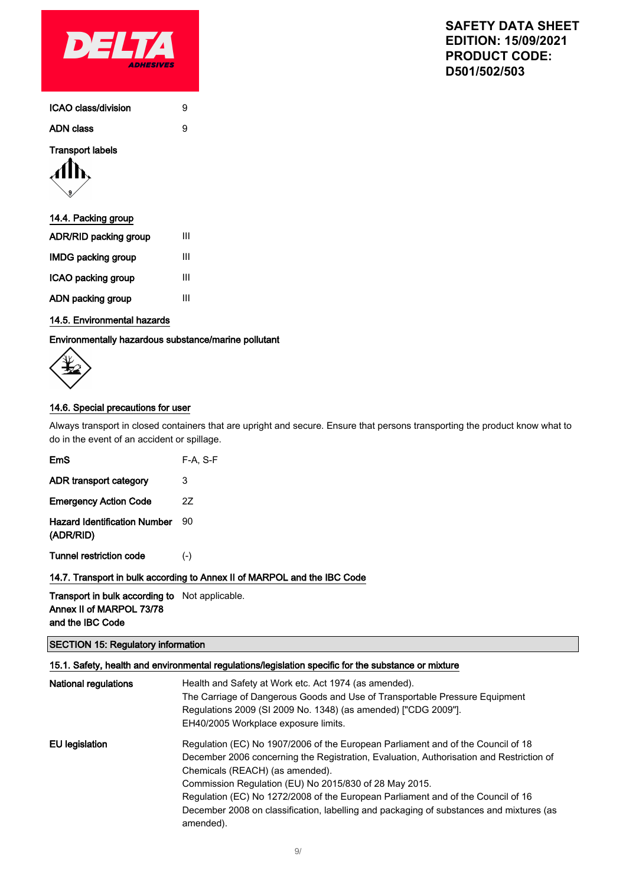

| ICAO class/division |  |
|---------------------|--|
|                     |  |

ADN class 9

### Transport labels



### 14.4. Packing group

| ADR/RID packing group     | Ш |
|---------------------------|---|
| <b>IMDG packing group</b> | Ш |
| ICAO packing group        | Ш |
| ADN packing group         | ш |

# 14.5. Environmental hazards

### Environmentally hazardous substance/marine pollutant



# 14.6. Special precautions for user

Always transport in closed containers that are upright and secure. Ensure that persons transporting the product know what to do in the event of an accident or spillage.

| EmS                                              | $F-A, S-F$ |
|--------------------------------------------------|------------|
| ADR transport category                           | 3          |
| <b>Emergency Action Code</b>                     | 27         |
| <b>Hazard Identification Number</b><br>(ADR/RID) | 90         |
| <b>Tunnel restriction code</b>                   | $(-)$      |

#### 14.7. Transport in bulk according to Annex II of MARPOL and the IBC Code

Transport in bulk according to Not applicable. Annex II of MARPOL 73/78 and the IBC Code

### SECTION 15: Regulatory information

# 15.1. Safety, health and environmental regulations/legislation specific for the substance or mixture

| <b>National regulations</b> | Health and Safety at Work etc. Act 1974 (as amended).<br>The Carriage of Dangerous Goods and Use of Transportable Pressure Equipment<br>Regulations 2009 (SI 2009 No. 1348) (as amended) ["CDG 2009"].<br>EH40/2005 Workplace exposure limits.                                                                                                                                                                                                                       |
|-----------------------------|----------------------------------------------------------------------------------------------------------------------------------------------------------------------------------------------------------------------------------------------------------------------------------------------------------------------------------------------------------------------------------------------------------------------------------------------------------------------|
| EU legislation              | Regulation (EC) No 1907/2006 of the European Parliament and of the Council of 18<br>December 2006 concerning the Registration, Evaluation, Authorisation and Restriction of<br>Chemicals (REACH) (as amended).<br>Commission Regulation (EU) No 2015/830 of 28 May 2015.<br>Regulation (EC) No 1272/2008 of the European Parliament and of the Council of 16<br>December 2008 on classification, labelling and packaging of substances and mixtures (as<br>amended). |

# **SAFETY DATA SHEET EDITION: 15/09/2021 PRODUCT CODE: D501/502/503**